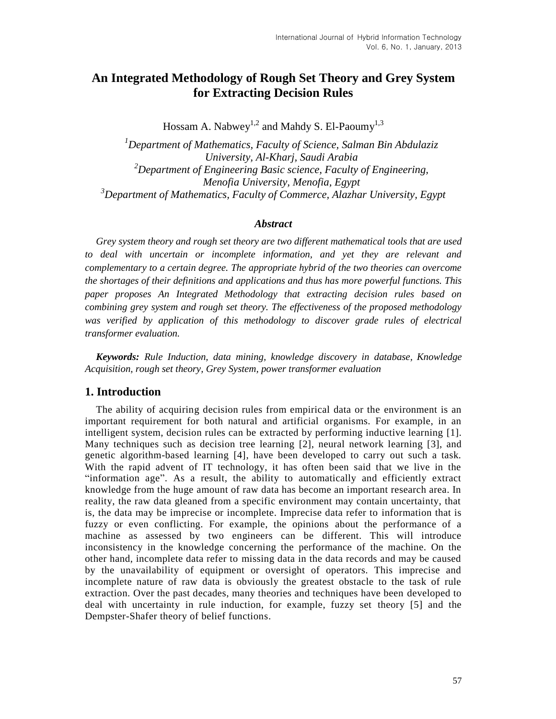# **An Integrated Methodology of Rough Set Theory and Grey System for Extracting Decision Rules**

Hossam A. Nabwey<sup>1,2</sup> and Mahdy S. El-Paoumy<sup>1,3</sup>

*<sup>1</sup>Department of Mathematics, Faculty of Science, Salman Bin Abdulaziz University, Al-Kharj, Saudi Arabia <sup>2</sup>Department of Engineering Basic science, Faculty of Engineering, Menofia University, Menofia, Egypt <sup>3</sup>Department of Mathematics, Faculty of Commerce, Alazhar University, Egypt*

### *Abstract*

*Grey system theory and rough set theory are two different mathematical tools that are used to deal with uncertain or incomplete information, and yet they are relevant and complementary to a certain degree. The appropriate hybrid of the two theories can overcome the shortages of their definitions and applications and thus has more powerful functions. This paper proposes An Integrated Methodology that extracting decision rules based on combining grey system and rough set theory. The effectiveness of the proposed methodology was verified by application of this methodology to discover grade rules of electrical transformer evaluation.* 

*Keywords: Rule Induction, data mining, knowledge discovery in database, Knowledge Acquisition, rough set theory, Grey System, power transformer evaluation*

## **1. Introduction**

The ability of acquiring decision rules from empirical data or the environment is an important requirement for both natural and artificial organisms. For example, in an intelligent system, decision rules can be extracted by performing inductive learning [1]. Many techniques such as decision tree learning [2], neural network learning [3], and genetic algorithm-based learning [4], have been developed to carry out such a task. With the rapid advent of IT technology, it has often been said that we live in the "information age". As a result, the ability to automatically and efficiently extract knowledge from the huge amount of raw data has become an important research area. In reality, the raw data gleaned from a specific environment may contain uncertainty, that is, the data may be imprecise or incomplete. Imprecise data refer to information that is fuzzy or even conflicting. For example, the opinions about the performance of a machine as assessed by two engineers can be different. This will introduce inconsistency in the knowledge concerning the performance of the machine. On the other hand, incomplete data refer to missing data in the data records and may be caused by the unavailability of equipment or oversight of operators. This imprecise and incomplete nature of raw data is obviously the greatest obstacle to the task of rule extraction. Over the past decades, many theories and techniques have been developed to deal with uncertainty in rule induction, for example, fuzzy set theory [5] and the Dempster-Shafer theory of belief functions.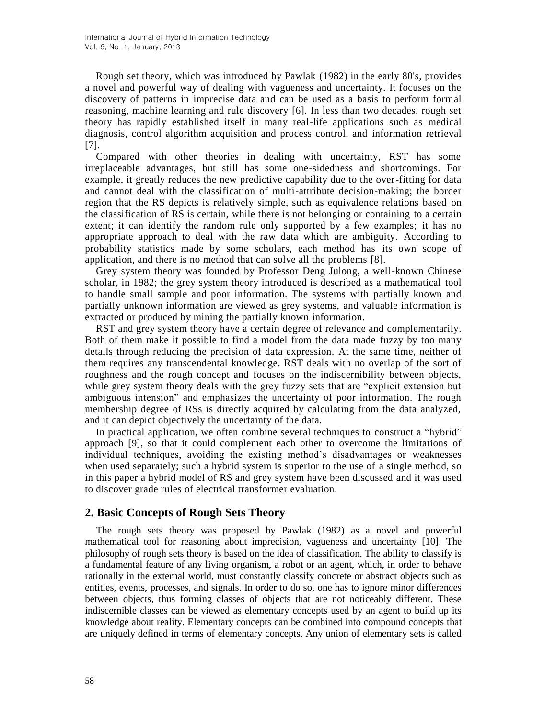Rough set theory, which was introduced by Pawlak (1982) in the early 80's, provides a novel and powerful way of dealing with vagueness and uncertainty. It focuses on the discovery of patterns in imprecise data and can be used as a basis to perform formal reasoning, machine learning and rule discovery [6]. In less than two decades, rough set theory has rapidly established itself in many real-life applications such as medical diagnosis, control algorithm acquisition and process control, and information retrieval [7].

Compared with other theories in dealing with uncertainty, RST has some irreplaceable advantages, but still has some one-sidedness and shortcomings. For example, it greatly reduces the new predictive capability due to the over-fitting for data and cannot deal with the classification of multi-attribute decision-making; the border region that the RS depicts is relatively simple, such as equivalence relations based on the classification of RS is certain, while there is not belonging or containing to a certain extent; it can identify the random rule only supported by a few examples; it has no appropriate approach to deal with the raw data which are ambiguity. According to probability statistics made by some scholars, each method has its own scope of application, and there is no method that can solve all the problems [8].

Grey system theory was founded by Professor Deng Julong, a well-known Chinese scholar, in 1982; the grey system theory introduced is described as a mathematical tool to handle small sample and poor information. The systems with partially known and partially unknown information are viewed as grey systems, and valuable information is extracted or produced by mining the partially known information.

RST and grey system theory have a certain degree of relevance and complementarily. Both of them make it possible to find a model from the data made fuzzy by too many details through reducing the precision of data expression. At the same time, neither of them requires any transcendental knowledge. RST deals with no overlap of the sort of roughness and the rough concept and focuses on the indiscernibility between objects, while grey system theory deals with the grey fuzzy sets that are "explicit extension but ambiguous intension" and emphasizes the uncertainty of poor information. The rough membership degree of RSs is directly acquired by calculating from the data analyzed, and it can depict objectively the uncertainty of the data.

In practical application, we often combine several techniques to construct a "hybrid" approach [9], so that it could complement each other to overcome the limitations of individual techniques, avoiding the existing method's disadvantages or weaknesses when used separately; such a hybrid system is superior to the use of a single method, so in this paper a hybrid model of RS and grey system have been discussed and it was used to discover grade rules of electrical transformer evaluation.

## **2. Basic Concepts of Rough Sets Theory**

The rough sets theory was proposed by Pawlak (1982) as a novel and powerful mathematical tool for reasoning about imprecision, vagueness and uncertainty [10]. The philosophy of rough sets theory is based on the idea of classification. The ability to classify is a fundamental feature of any living organism, a robot or an agent, which, in order to behave rationally in the external world, must constantly classify concrete or abstract objects such as entities, events, processes, and signals. In order to do so, one has to ignore minor differences between objects, thus forming classes of objects that are not noticeably different. These indiscernible classes can be viewed as elementary concepts used by an agent to build up its knowledge about reality. Elementary concepts can be combined into compound concepts that are uniquely defined in terms of elementary concepts. Any union of elementary sets is called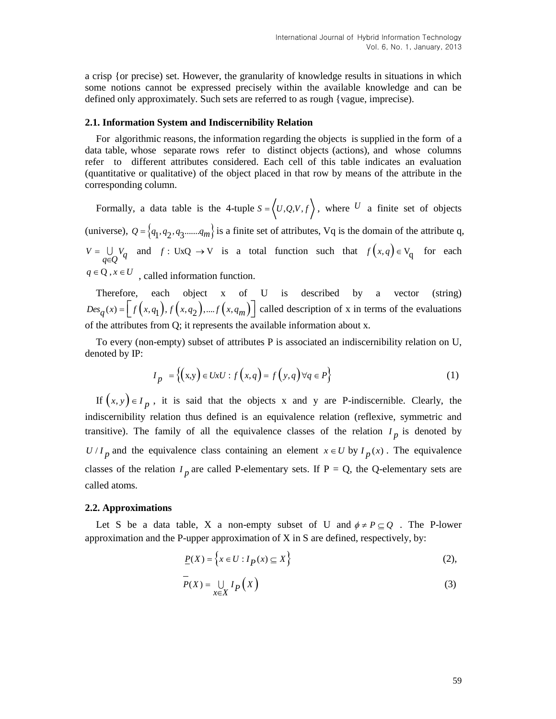a crisp {or precise) set. However, the granularity of knowledge results in situations in which some notions cannot be expressed precisely within the available knowledge and can be defined only approximately. Such sets are referred to as rough {vague, imprecise).

#### **2.1. Information System and Indiscernibility Relation**

For algorithmic reasons, the information regarding the objects is supplied in the form of a data table, whose separate rows refer to distinct objects (actions), and whose columns refer to different attributes considered. Each cell of this table indicates an evaluation (quantitative or qualitative) of the object placed in that row by means of the attribute in the corresponding column.

Formally, a data table is the 4-tuple  $S = (U, Q, V, f)$ , where U a finite set of objects (universe),  $Q = \{q_1, q_2, q_3 \dots q_m\}$  is a finite set of attributes, Vq is the domain of the attribute q,  $V = \bigcup_{q \in Q} V_q$  $=$ Έļ and  $f: U \times Q \to V$  is a total function such that  $f(x,q) \in V_q$  for each  $q \in \mathbb{Q}$ ,  $x \in U$ , called information function.

Therefore, each object x of U is described by a vector (string) Therefore, each object x of U is<br>  $Des_q(x) = \left[ f(x, q_1), f(x, q_2), ... f(x, q_m) \right]$  called called description of x in terms of the evaluations of the attributes from Q; it represents the available information about x.

To every (non-empty) subset of attributes P is associated an indiscernibility relation on U, denoted by IP:

$$
I_p = \left\{ (x,y) \in UxU : f(x,q) = f(y,q) \forall q \in P \right\}
$$
 (1)

If  $(x, y) \in I_p$ , it is said that the objects x and y are P-indiscernible. Clearly, the indiscernibility relation thus defined is an equivalence relation (reflexive, symmetric and transitive). The family of all the equivalence classes of the relation  $I_p$  is denoted by  $U/I_p$  and the equivalence class containing an element  $x \in U$  by  $I_p(x)$ . The equivalence classes of the relation  $I_p$  are called P-elementary sets. If  $P = Q$ , the Q-elementary sets are called atoms.

#### **2.2. Approximations**

Let S be a data table, X a non-empty subset of U and  $\phi \neq P \subseteq Q$ . The P-lower approximation and the P-upper approximation of X in S are defined, respectively, by:

$$
\underline{P}(X) = \left\{ x \in U : I_{\underline{P}}(x) \subseteq X \right\} \tag{2}
$$

$$
P(X) = \bigcup_{x \in X} I_P(X)
$$
 (3)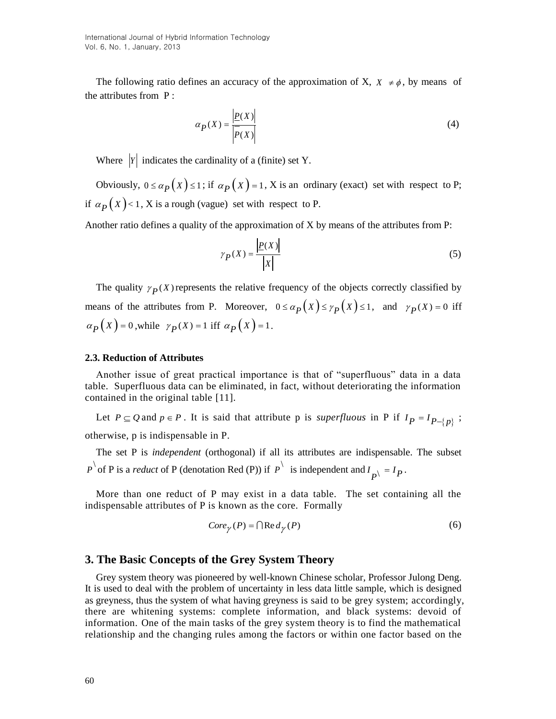The following ratio defines an accuracy of the approximation of X,  $X \neq \phi$ , by means of the attributes from P :

$$
\alpha_P(X) = \frac{|P(X)|}{|\overline{P}(X)|} \tag{4}
$$

Where  $|Y|$  indicates the cardinality of a (finite) set Y.

Obviously,  $0 \le \alpha_p(X) \le 1$ ; if  $\alpha_p(X) = 1$ , X is an ordinary (exact) set with respect to P; if  $\alpha_p(x)$  < 1, X is a rough (vague) set with respect to P.

Another ratio defines a quality of the approximation of X by means of the attributes from P:

$$
\gamma_P(X) = \frac{|P(X)|}{|X|} \tag{5}
$$

The quality  $\gamma_P(X)$  represents the relative frequency of the objects correctly classified by means of the attributes from P. Moreover,  $0 \le \alpha_p(x) \le \gamma_p(x) \le 1$ , and  $\gamma_p(x) = 0$  iff  $\alpha_{P}(X) = 0$ , while  $\gamma_{P}(X) = 1$  iff  $\alpha_{P}(X) = 1$ .

#### **2.3. Reduction of Attributes**

Another issue of great practical importance is that of "superfluous" data in a data table. Superfluous data can be eliminated, in fact, without deteriorating the information contained in the original table [11].

Let  $P \subseteq Q$  and  $p \in P$ . It is said that attribute p is *superfluous* in P if  $I_P = I_{P-\{p\}}$ ; otherwise, p is indispensable in P.

The set P is *independent* (orthogonal) if all its attributes are indispensable. The subset  $P^{\setminus}$  of P is a *reduct* of P (denotation Red (P)) if  $P^{\setminus}$  is independent and  $I_{P^{\setminus}} = I_P$ .

More than one reduct of P may exist in a data table. The set containing all the indispensable attributes of P is known as the core. Formally

$$
Core_{\gamma}(P) = \bigcap \text{Re}\,d_{\gamma}(P) \tag{6}
$$

# **3. The Basic Concepts of the Grey System Theory**

Grey system theory was pioneered by well-known Chinese scholar, Professor Julong Deng. It is used to deal with the problem of uncertainty in less data little sample, which is designed as greyness, thus the system of what having greyness is said to be grey system; accordingly, there are whitening systems: complete information, and black systems: devoid of information. One of the main tasks of the grey system theory is to find the mathematical relationship and the changing rules among the factors or within one factor based on the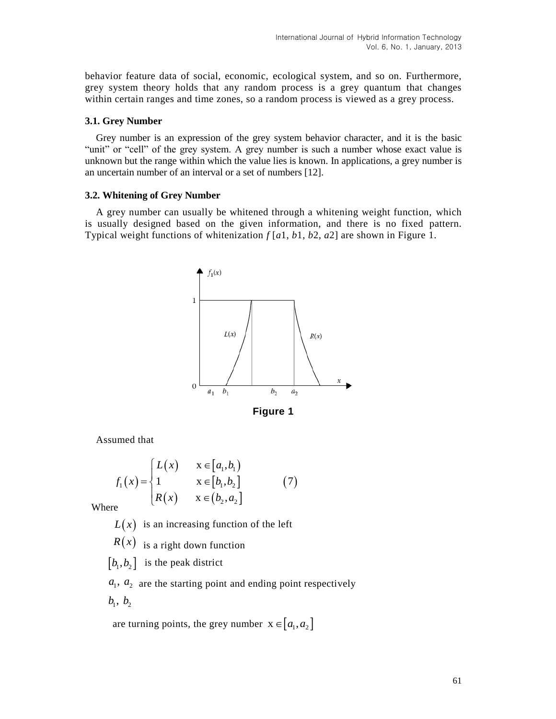behavior feature data of social, economic, ecological system, and so on. Furthermore, grey system theory holds that any random process is a grey quantum that changes within certain ranges and time zones, so a random process is viewed as a grey process.

### **3.1. Grey Number**

Grey number is an expression of the grey system behavior character, and it is the basic "unit" or "cell" of the grey system. A grey number is such a number whose exact value is unknown but the range within which the value lies is known. In applications, a grey number is an uncertain number of an interval or a set of numbers [12].

## **3.2. Whitening of Grey Number**

A grey number can usually be whitened through a whitening weight function, which is usually designed based on the given information, and there is no fixed pattern. Typical weight functions of whitenization *f* [*a*1, *b*1, *b*2, *a*2] are shown in Figure 1.





Assumed that

$$
f_1(x) = \begin{cases} L(x) & x \in [a_1, b_1) \\ 1 & x \in [b_1, b_2] \\ R(x) & x \in (b_2, a_2] \end{cases}
$$
 (7)

Where

 $L(x)$  is an increasing function of the left

 $R(x)$  is a right down function

 $\left[ b_1, b_2 \right]$  is the peak district

 $a_1, a_2$  are the starting point and ending point respectively  $b_1, b_2$ 

are turning points, the grey number  $x \in [a_1, a_2]$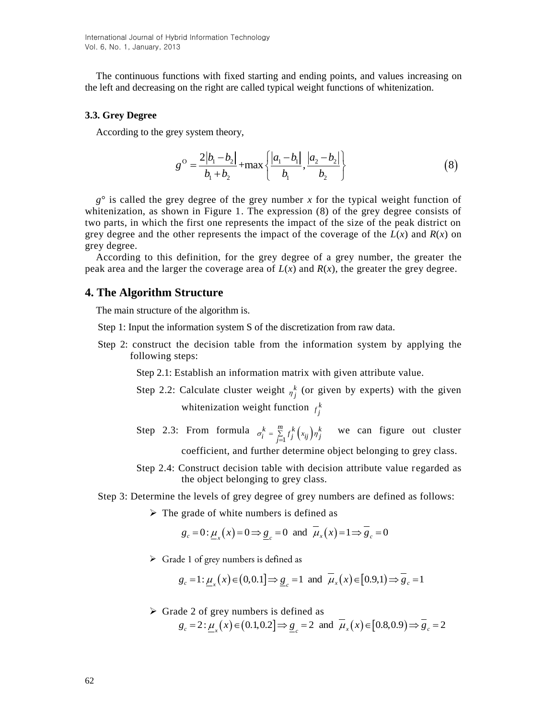The continuous functions with fixed starting and ending points, and values increasing on the left and decreasing on the right are called typical weight functions of whitenization.

#### **3.3. Grey Degree**

According to the grey system theory,

ey system theory,  
\n
$$
g^{\circ} = \frac{2|b_1 - b_2|}{b_1 + b_2} + \max\left\{\frac{|a_1 - b_1|}{b_1}, \frac{|a_2 - b_2|}{b_2}\right\}
$$
\n(8)

*g*° is called the grey degree of the grey number *x* for the typical weight function of whitenization, as shown in Figure 1. The expression (8) of the grey degree consists of two parts, in which the first one represents the impact of the size of the peak district on grey degree and the other represents the impact of the coverage of the  $L(x)$  and  $R(x)$  on grey degree.  $\frac{y_0}{x_0} = \frac{y_0 - y_0}{h_0} + \frac{h_0}{h_0}$  (8)<br>  $y$  degree of the grow number *x* for the typical weight function of<br>
win in Figure 1. The expression (8) of the grey degree consists of<br>
the first one represents the impact

According to this definition, for the grey degree of a grey number, the greater the peak area and the larger the coverage area of  $L(x)$  and  $R(x)$ , the greater the grey degree.

## **4. The Algorithm Structure**

The main structure of the algorithm is.

Step 1: Input the information system S of the discretization from raw data.

Step 2: construct the decision table from the information system by applying the following steps:

Step 2.1: Establish an information matrix with given attribute value.

- Step 2.2: Calculate cluster weight  $\eta_j^k$  (or given by experts) with the given whitenization weight function  $f_j^k$
- Step 2.3: From formula  $\sigma_i^k = \sum_{j=1}^m f_j^k (x_{ij})r_j$  $\sigma_i^k = \sum_{j=1}^m f_j^k (x_{ij}) \eta_j^k$  we can figure out cluster coefficient, and further determine object belonging to grey class.
- Step 2.4: Construct decision table with decision attribute value regarded as the object belonging to grey class.

#### Step 3: Determine the levels of grey degree of grey numbers are defined as follows:

$$
\triangleright
$$
 The grade of white numbers is defined as  

$$
g_c = 0: \underline{\mu}_x(x) = 0 \Rightarrow \underline{g}_c = 0 \text{ and } \overline{\mu}_x(x) = 1 \Rightarrow \overline{g}_c = 0
$$

 $\triangleright$  Grade 1 of grey numbers is defined as

de 1 of grey numbers is defined as  
\n
$$
g_c = 1: \underline{\mu}_x(x) \in (0, 0.1] \Rightarrow \underline{g}_c = 1
$$
 and  $\overline{\mu}_x(x) \in [0.9, 1] \Rightarrow \overline{g}_c = 1$ 

 $\triangleright$  Grade 2 of grey numbers is defined as  $g_c = 2: \mu_r(x) \in (0.1, 0.2] \Rightarrow g_c = 2$  and  $\overline{\mu}_x(x) \in [0.8, 0.9] \Rightarrow g_c = 2$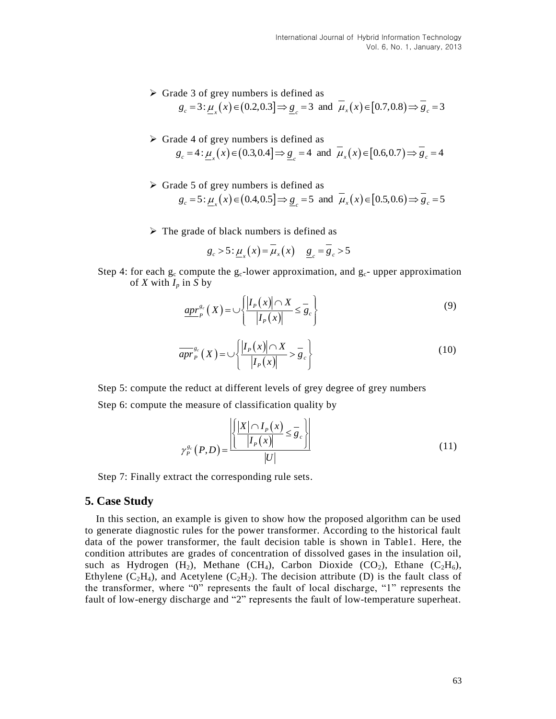- $\triangleright$  Grade 3 of grey numbers is defined as de 3 of grey numbers is defined as<br>  $g_c = 3: \underline{\mu}_x(x) \in (0.2, 0.3] \Rightarrow \underline{g}_c = 3$  and  $\overline{\mu}_x(x) \in [0.7, 0.8] \Rightarrow \overline{g}_c = 3$
- $\triangleright$  Grade 4 of grey numbers is defined as de 4 of grey numbers is defined as<br>  $g_c = 4: \underline{\mu}_x(x) \in (0.3, 0.4] \Rightarrow \underline{g}_c = 4$  and  $\overline{\mu}_x(x) \in [0.6, 0.7] \Rightarrow \overline{g}_c = 4$
- $\triangleright$  Grade 5 of grey numbers is defined as de 5 of grey numbers is defined as<br>  $g_c = 5: \underline{\mu}_x(x) \in (0.4, 0.5] \Rightarrow \underline{g}_c = 5$  and  $\overline{\mu}_x(x) \in [0.5, 0.6] \Rightarrow \overline{g}_c = 5$
- 

► The grade of black numbers is defined as  

$$
g_c > 5: \underline{\mu}_x(x) = \overline{\mu}_x(x) \quad \underline{g}_c = \overline{g}_c > 5
$$

Step 4: for each  $g_c$  compute the  $g_c$ -lower approximation, and  $g_c$ - upper approximation of *X* with  $I_p$  in *S* by

$$
\underbrace{ap r_p^{g_c}}(X) = \bigcup \left\{ \frac{|I_P(x)| \cap X}{|I_P(x)|} \le \overline{g}_c \right\} \tag{9}
$$

$$
\overline{apr}^{g_c}_{P}(X) = \bigcup \left\{ \frac{|I_P(x)| \cap X}{|I_P(x)|} > \overline{g}_c \right\} \tag{10}
$$

Step 5: compute the reduct at different levels of grey degree of grey numbers Step 6: compute the measure of classification quality by

$$
\gamma_P^{g_c}(P,D) = \frac{\left| \frac{\left| X \cap I_P(x)}{\left| I_P(x) \right|} \le \overline{g}_c \right|}{|U|} \right| \tag{11}
$$

Step 7: Finally extract the corresponding rule sets.

# **5. Case Study**

In this section, an example is given to show how the proposed algorithm can be used to generate diagnostic rules for the power transformer. According to the historical fault data of the power transformer, the fault decision table is shown in Table1. Here, the condition attributes are grades of concentration of dissolved gases in the insulation oil, such as Hydrogen (H<sub>2</sub>), Methane (CH<sub>4</sub>), Carbon Dioxide (CO<sub>2</sub>), Ethane (C<sub>2</sub>H<sub>6</sub>), Ethylene  $(C_2H_4)$ , and Acetylene  $(C_2H_2)$ . The decision attribute (D) is the fault class of the transformer, where "0" represents the fault of local discharge, "1" represents the fault of low-energy discharge and "2" represents the fault of low-temperature superheat.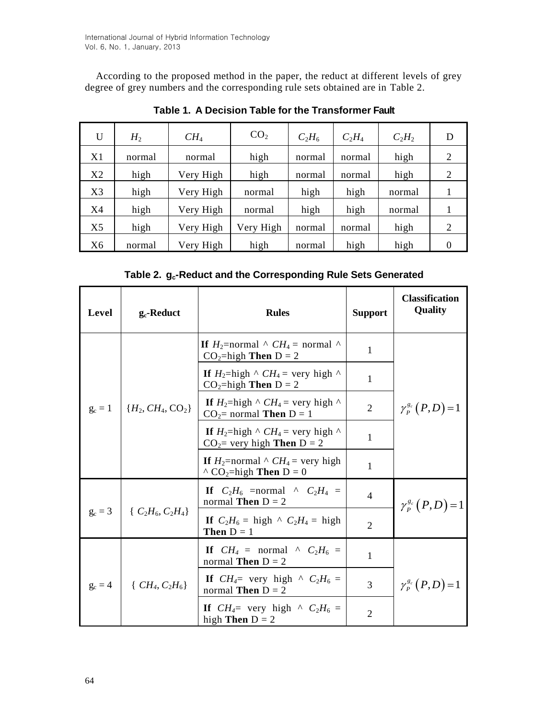According to the proposed method in the paper, the reduct at different levels of grey degree of grey numbers and the corresponding rule sets obtained are in Table 2.

| U              | $H_2$  | CH <sub>4</sub> | CO <sub>2</sub> | $C_2H_6$ | $C_2H_4$ | $C_2H_2$ | D              |
|----------------|--------|-----------------|-----------------|----------|----------|----------|----------------|
| X1             | normal | normal          | high            | normal   | normal   | high     | 2              |
| X2             | high   | Very High       | high            | normal   | normal   | high     | $\overline{2}$ |
| X <sub>3</sub> | high   | Very High       | normal          | high     | high     | normal   |                |
| X <sub>4</sub> | high   | Very High       | normal          | high     | high     | normal   |                |
| X <sub>5</sub> | high   | Very High       | Very High       | normal   | normal   | high     | 2              |
| X <sub>6</sub> | normal | Very High       | high            | normal   | high     | high     | 0              |

**Table 1. A Decision Table for the Transformer Fault**

**Table 2. gc-Reduct and the Corresponding Rule Sets Generated**

| Level     | $g_c$ -Reduct         | <b>Rules</b>                                                                                     | <b>Support</b> | <b>Classification</b><br><b>Quality</b> |  |
|-----------|-----------------------|--------------------------------------------------------------------------------------------------|----------------|-----------------------------------------|--|
| $g_c = 1$ | $\{H_2, CH_4, CO_2\}$ | If $H_2$ =normal $\wedge$ $CH_4$ = normal $\wedge$<br>$CO2=high$ Then $D = 2$                    | 1              | $\gamma_P^{g_c}(P,D) = 1$               |  |
|           |                       | If $H_2$ =high $\wedge$ $CH_4$ = very high $\wedge$<br>$CO_2$ =high Then D = 2                   | $\mathbf{1}$   |                                         |  |
|           |                       | If $H_2$ =high $\wedge$ $CH_4$ = very high $\wedge$<br>$CO2=$ normal Then $D=1$                  | 2              |                                         |  |
|           |                       | If $H_2$ =high $\wedge$ $CH_4$ = very high $\wedge$<br>$CO_2$ very high Then D = 2               | $\mathbf{1}$   |                                         |  |
|           |                       | If $H_2$ =normal $\wedge$ $CH_4$ = very high<br>$\wedge$ CO <sub>2</sub> =high <b>Then</b> D = 0 | 1              |                                         |  |
| $g_c = 3$ | $\{C_2H_6, C_2H_4\}$  | If $C_2H_6$ =normal ^ $C_2H_4$ =<br>normal <b>Then</b> $D = 2$                                   | $\overline{4}$ | $\gamma_{P}^{g_c}(P,D)=1$               |  |
|           |                       | If $C_2H_6 = \text{high} \wedge C_2H_4 = \text{high}$<br><b>Then</b> $D = 1$                     | $\overline{2}$ |                                         |  |
| $g_c = 4$ | { $CH_4, C_2H_6$ }    | If $CH_4$ = normal $\wedge$ $C_2H_6$ =<br>normal <b>Then</b> $D = 2$                             | 1              |                                         |  |
|           |                       | If $CH_4$ = very high $\wedge$ $C_2H_6$ =<br>3<br>normal <b>Then</b> $D = 2$                     |                | $\gamma_P^{g_c}(P,D) = 1$               |  |
|           |                       | If $CH_4$ = very high $\wedge$ $C_2H_6$ =<br>high Then $D = 2$                                   | $\overline{2}$ |                                         |  |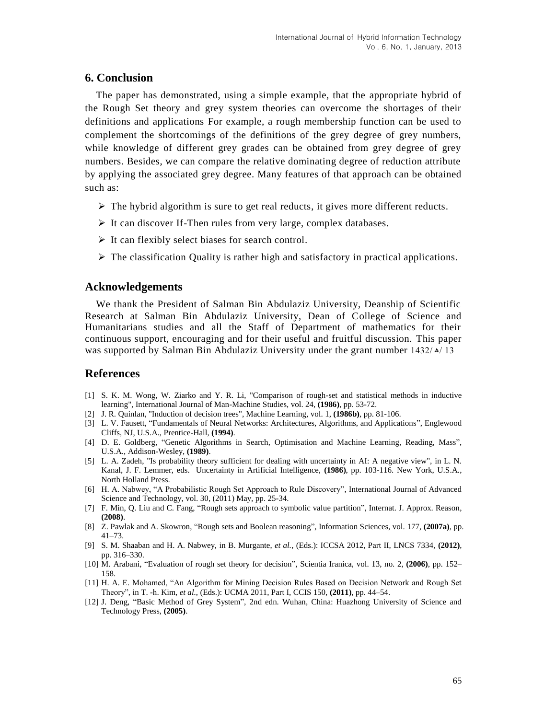# **6. Conclusion**

The paper has demonstrated, using a simple example, that the appropriate hybrid of the Rough Set theory and grey system theories can overcome the shortages of their definitions and applications For example, a rough membership function can be used to complement the shortcomings of the definitions of the grey degree of grey numbers, while knowledge of different grey grades can be obtained from grey degree of grey numbers. Besides, we can compare the relative dominating degree of reduction attribute by applying the associated grey degree. Many features of that approach can be obtained such as:

- $\triangleright$  The hybrid algorithm is sure to get real reducts, it gives more different reducts.
- $\triangleright$  It can discover If-Then rules from very large, complex databases.
- $\triangleright$  It can flexibly select biases for search control.
- $\triangleright$  The classification Quality is rather high and satisfactory in practical applications.

## **Acknowledgements**

We thank the President of Salman Bin Abdulaziz University, Deanship of Scientific Research at Salman Bin Abdulaziz University, Dean of College of Science and Humanitarians studies and all the Staff of Department of mathematics for their continuous support, encouraging and for their useful and fruitful discussion. This paper was supported by Salman Bin Abdulaziz University under the grant number  $1432/\gamma/13$ 

# **References**

- [1] S. K. M. Wong, W. Ziarko and Y. R. Li, "Comparison of rough-set and statistical methods in inductive learning", International Journal of Man-Machine Studies, vol. 24, **(1986)**, pp. 53-72.
- [2] J. R. Quinlan, "Induction of decision trees", Machine Learning, vol. 1, **(1986b)**, pp. 81-106.
- [3] L. V. Fausett, "Fundamentals of Neural Networks: Architectures, Algorithms, and Applications", Englewood Cliffs, NJ, U.S.A., Prentice-Hall, **(1994)**.
- [4] D. E. Goldberg, "Genetic Algorithms in Search, Optimisation and Machine Learning, Reading, Mass", U.S.A., Addison-Wesley, **(1989)**.
- [5] L. A. Zadeh, "Is probability theory sufficient for dealing with uncertainty in AI: A negative view", in L. N. Kanal, J. F. Lemmer, eds. Uncertainty in Artificial Intelligence, **(1986)**, pp. 103-116. New York, U.S.A., North Holland Press.
- [6] H. A. Nabwey, "A Probabilistic Rough Set Approach to Rule Discovery", International Journal of Advanced Science and Technology, vol. 30, (2011) May, pp. 25-34.
- [7] F. Min, Q. Liu and C. Fang, "Rough sets approach to symbolic value partition", Internat. J. Approx. Reason, **(2008)**.
- [8] Z. Pawlak and A. Skowron, "Rough sets and Boolean reasoning", Information Sciences, vol. 177, **(2007a)**, pp. 41–73.
- [9] S. M. Shaaban and H. A. Nabwey, in B. Murgante, *et al.*, (Eds.): ICCSA 2012, Part II, LNCS 7334, **(2012)**, pp. 316–330.
- [10] M. Arabani, "Evaluation of rough set theory for decision", Scientia Iranica, vol. 13, no. 2, **(2006)**, pp. 152– 158.
- [11] H. A. E. Mohamed, "An Algorithm for Mining Decision Rules Based on Decision Network and Rough Set Theory", in T. -h. Kim, *et al.*, (Eds.): UCMA 2011, Part I, CCIS 150, **(2011)**, pp. 44–54.
- [12] J. Deng, "Basic Method of Grey System", 2nd edn. Wuhan, China: Huazhong University of Science and Technology Press, **(2005)**.